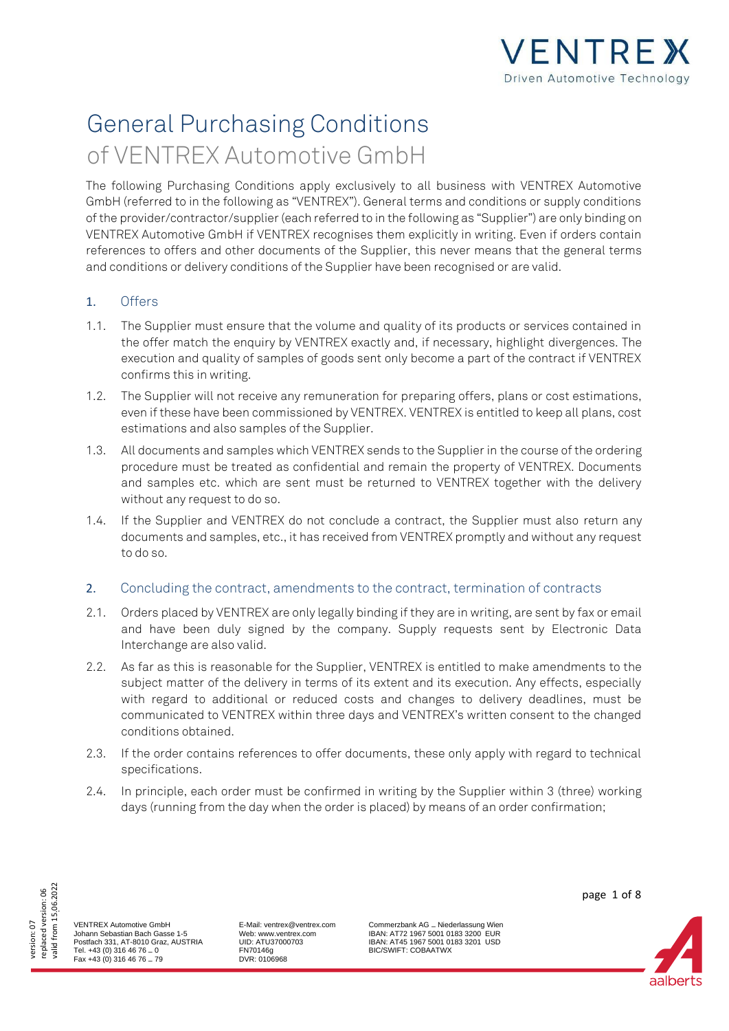

# General Purchasing Conditions of VENTREX Automotive GmbH

The following Purchasing Conditions apply exclusively to all business with VENTREX Automotive GmbH (referred to in the following as "VENTREX"). General terms and conditions or supply conditions of the provider/contractor/supplier (each referred to in the following as "Supplier") are only binding on VENTREX Automotive GmbH if VENTREX recognises them explicitly in writing. Even if orders contain references to offers and other documents of the Supplier, this never means that the general terms and conditions or delivery conditions of the Supplier have been recognised or are valid.

# 1. Offers

- 1.1. The Supplier must ensure that the volume and quality of its products or services contained in the offer match the enquiry by VENTREX exactly and, if necessary, highlight divergences. The execution and quality of samples of goods sent only become a part of the contract if VENTREX confirms this in writing.
- 1.2. The Supplier will not receive any remuneration for preparing offers, plans or cost estimations, even if these have been commissioned by VENTREX. VENTREX is entitled to keep all plans, cost estimations and also samples of the Supplier.
- 1.3. All documents and samples which VENTREX sends to the Supplier in the course of the ordering procedure must be treated as confidential and remain the property of VENTREX. Documents and samples etc. which are sent must be returned to VENTREX together with the delivery without any request to do so.
- 1.4. If the Supplier and VENTREX do not conclude a contract, the Supplier must also return any documents and samples, etc., it has received from VENTREX promptly and without any request to do so.

## 2. Concluding the contract, amendments to the contract, termination of contracts

- 2.1. Orders placed by VENTREX are only legally binding if they are in writing, are sent by fax or email and have been duly signed by the company. Supply requests sent by Electronic Data Interchange are also valid.
- 2.2. As far as this is reasonable for the Supplier, VENTREX is entitled to make amendments to the subject matter of the delivery in terms of its extent and its execution. Any effects, especially with regard to additional or reduced costs and changes to delivery deadlines, must be communicated to VENTREX within three days and VENTREX's written consent to the changed conditions obtained.
- 2.3. If the order contains references to offer documents, these only apply with regard to technical specifications.
- 2.4. In principle, each order must be confirmed in writing by the Supplier within 3 (three) working days (running from the day when the order is placed) by means of an order confirmation;



VENTREX Automotive GmbH Johann Sebastian Bach Gasse 1-5 Postfach 331, AT-8010 Graz, AUSTRIA Tel. +43 (0) 316 46 76 – 0 Fax +43 (0) 316 46 76 – 79

E-Mail: ventrex@ventrex.com Web: www.ventrex.com UID: ATU37000703 FN70146g DVR: 0106968

Commerzbank AG – Niederlassung Wien IBAN: AT72 1967 5001 0183 3200 EUR IBAN: AT45 1967 5001 0183 3201 USD BIC/SWIFT: COBAATWX



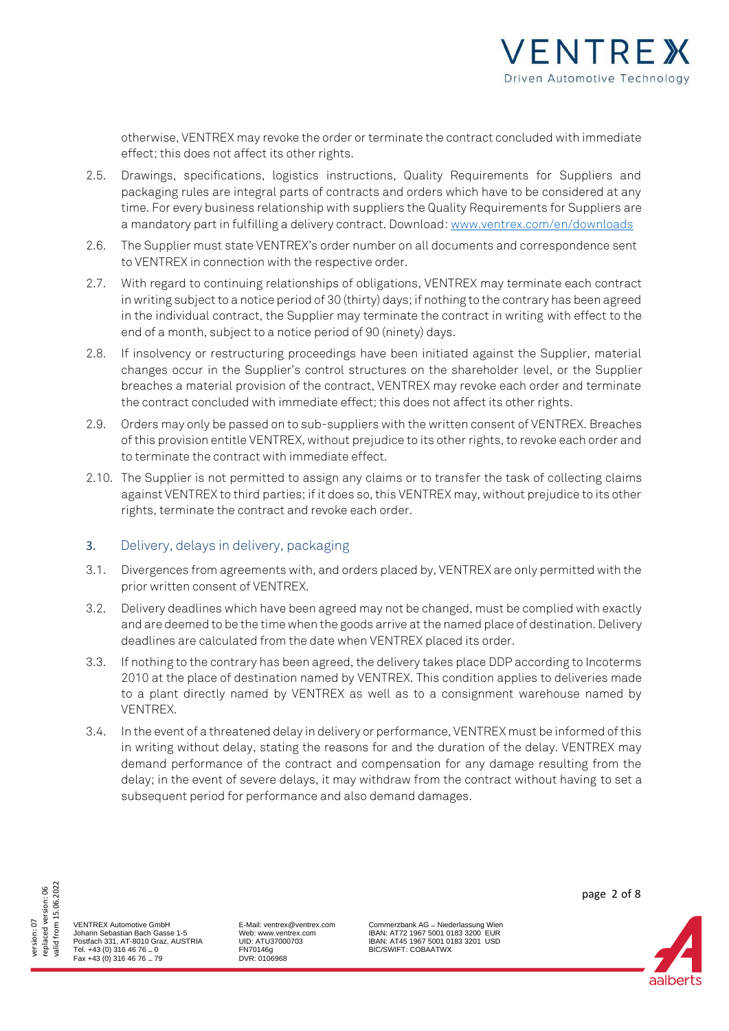

otherwise, VENTREX may revoke the order or terminate the contract concluded with immediate effect; this does not affect its other rights.

- 2.5. Drawings, specifications, logistics instructions, Quality Requirements for Suppliers and packaging rules are integral parts of contracts and orders which have to be considered at any time. For every business relationship with suppliers the Quality Requirements for Suppliers are a mandatory part in fulfilling a delivery contract. Downloa[d: www.ventrex.com/en/downloads](https://www.ventrex.com/en/downloads)
- 2.6. The Supplier must state VENTREX's order number on all documents and correspondence sent to VENTREX in connection with the respective order.
- 2.7. With regard to continuing relationships of obligations, VENTREX may terminate each contract in writing subject to a notice period of 30 (thirty) days; if nothing to the contrary has been agreed in the individual contract, the Supplier may terminate the contract in writing with effect to the end of a month, subject to a notice period of 90 (ninety) days.
- 2.8. If insolvency or restructuring proceedings have been initiated against the Supplier, material changes occur in the Supplier's control structures on the shareholder level, or the Supplier breaches a material provision of the contract, VENTREX may revoke each order and terminate the contract concluded with immediate effect; this does not affect its other rights.
- 2.9. Orders may only be passed on to sub-suppliers with the written consent of VENTREX. Breaches of this provision entitle VENTREX, without prejudice to its other rights, to revoke each order and to terminate the contract with immediate effect.
- 2.10. The Supplier is not permitted to assign any claims or to transfer the task of collecting claims against VENTREX to third parties; if it does so, this VENTREX may, without prejudice to its other rights, terminate the contract and revoke each order.

### 3. Delivery, delays in delivery, packaging

- 3.1. Divergences from agreements with, and orders placed by, VENTREX are only permitted with the prior written consent of VENTREX.
- 3.2. Delivery deadlines which have been agreed may not be changed, must be complied with exactly and are deemed to be the time when the goods arrive at the named place of destination. Delivery deadlines are calculated from the date when VENTREX placed its order.
- 3.3. If nothing to the contrary has been agreed, the delivery takes place DDP according to Incoterms 2010 at the place of destination named by VENTREX. This condition applies to deliveries made to a plant directly named by VENTREX as well as to a consignment warehouse named by VENTREX.
- 3.4. In the event of a threatened delay in delivery or performance, VENTREX must be informed of this in writing without delay, stating the reasons for and the duration of the delay. VENTREX may demand performance of the contract and compensation for any damage resulting from the delay; in the event of severe delays, it may withdraw from the contract without having to set a subsequent period for performance and also demand damages.



VENTREX Automotive GmbH Johann Sebastian Bach Gasse 1-5 Postfach 331, AT-8010 Graz, AUSTRIA Tel. +43 (0) 316 46 76 – 0 Fax +43 (0) 316 46 76 – 79

E-Mail: ventrex@ventrex.com Web: www.ventrex.com UID: ATU37000703 FN70146g DVR: 0106968

Commerzbank AG – Niederlassung Wien IBAN: AT72 1967 5001 0183 3200 EUR IBAN: AT45 1967 5001 0183 3201 USD BIC/SWIFT: COBAATWX

page 2 of 8

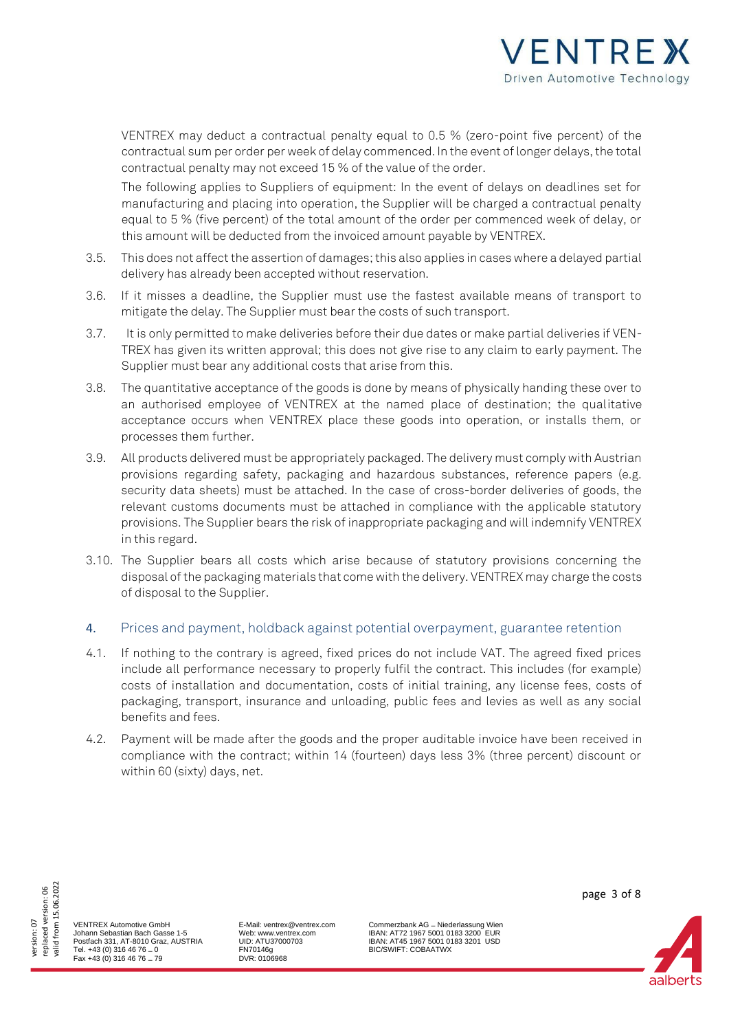

VENTREX may deduct a contractual penalty equal to 0.5 % (zero-point five percent) of the contractual sum per order per week of delay commenced. In the event of longer delays, the total contractual penalty may not exceed 15 % of the value of the order.

The following applies to Suppliers of equipment: In the event of delays on deadlines set for manufacturing and placing into operation, the Supplier will be charged a contractual penalty equal to 5 % (five percent) of the total amount of the order per commenced week of delay, or this amount will be deducted from the invoiced amount payable by VENTREX.

- 3.5. This does not affect the assertion of damages; this also applies in cases where a delayed partial delivery has already been accepted without reservation.
- 3.6. If it misses a deadline, the Supplier must use the fastest available means of transport to mitigate the delay. The Supplier must bear the costs of such transport.
- 3.7. It is only permitted to make deliveries before their due dates or make partial deliveries if VEN-TREX has given its written approval; this does not give rise to any claim to early payment. The Supplier must bear any additional costs that arise from this.
- 3.8. The quantitative acceptance of the goods is done by means of physically handing these over to an authorised employee of VENTREX at the named place of destination; the qualitative acceptance occurs when VENTREX place these goods into operation, or installs them, or processes them further.
- 3.9. All products delivered must be appropriately packaged. The delivery must comply with Austrian provisions regarding safety, packaging and hazardous substances, reference papers (e.g. security data sheets) must be attached. In the case of cross-border deliveries of goods, the relevant customs documents must be attached in compliance with the applicable statutory provisions. The Supplier bears the risk of inappropriate packaging and will indemnify VENTREX in this regard.
- 3.10. The Supplier bears all costs which arise because of statutory provisions concerning the disposal of the packaging materials that come with the delivery. VENTREX may charge the costs of disposal to the Supplier.

### 4. Prices and payment, holdback against potential overpayment, guarantee retention

- 4.1. If nothing to the contrary is agreed, fixed prices do not include VAT. The agreed fixed prices include all performance necessary to properly fulfil the contract. This includes (for example) costs of installation and documentation, costs of initial training, any license fees, costs of packaging, transport, insurance and unloading, public fees and levies as well as any social benefits and fees.
- 4.2. Payment will be made after the goods and the proper auditable invoice have been received in compliance with the contract; within 14 (fourteen) days less 3% (three percent) discount or within 60 (sixty) days, net.



VENTREX Automotive GmbH Johann Sebastian Bach Gasse 1-5 Postfach 331, AT-8010 Graz, AUSTRIA Tel. +43 (0) 316 46 76 – 0 Fax +43 (0) 316 46 76 – 79

E-Mail: ventrex@ventrex.com Web: www.ventrex.com UID: ATU37000703 FN70146g DVR: 0106968

Commerzbank AG – Niederlassung Wien IBAN: AT72 1967 5001 0183 3200 EUR IBAN: AT45 1967 5001 0183 3201 USD BIC/SWIFT: COBAATWX

page 3 of 8

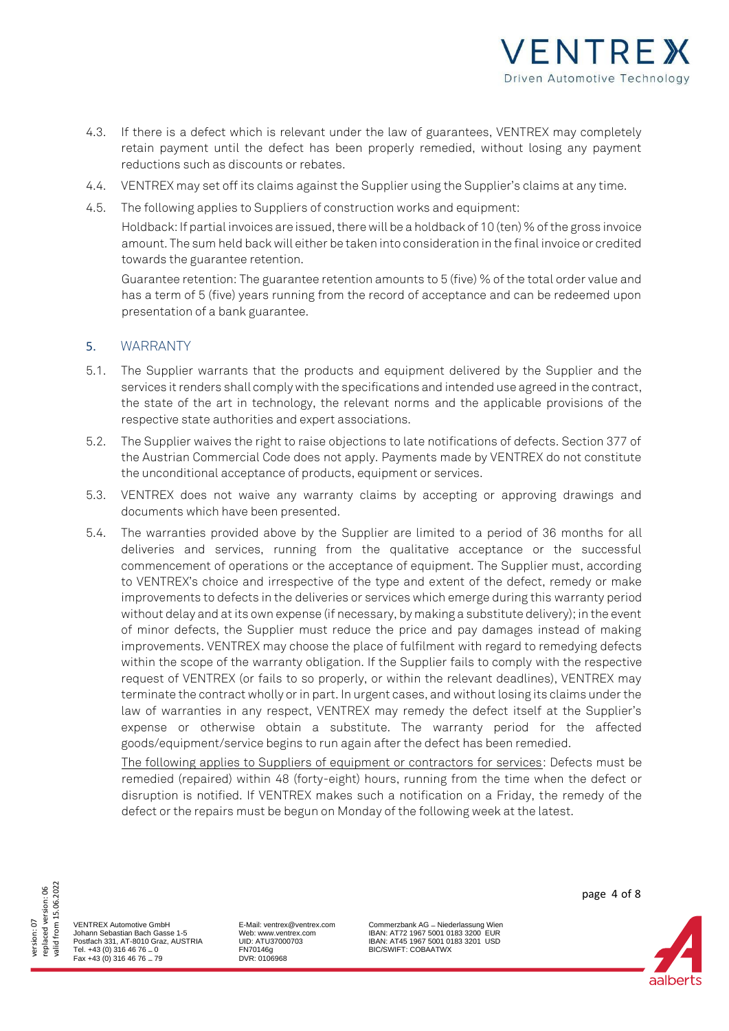

- 4.3. If there is a defect which is relevant under the law of guarantees, VENTREX may completely retain payment until the defect has been properly remedied, without losing any payment reductions such as discounts or rebates.
- 4.4. VENTREX may set off its claims against the Supplier using the Supplier's claims at any time.
- 4.5. The following applies to Suppliers of construction works and equipment:

Holdback: If partial invoices are issued, there will be a holdback of 10 (ten) % of the gross invoice amount. The sum held back will either be taken into consideration in the final invoice or credited towards the guarantee retention.

Guarantee retention: The guarantee retention amounts to 5 (five) % of the total order value and has a term of 5 (five) years running from the record of acceptance and can be redeemed upon presentation of a bank guarantee.

## 5. WARRANTY

- 5.1. The Supplier warrants that the products and equipment delivered by the Supplier and the services it renders shall comply with the specifications and intended use agreed in the contract, the state of the art in technology, the relevant norms and the applicable provisions of the respective state authorities and expert associations.
- 5.2. The Supplier waives the right to raise objections to late notifications of defects. Section 377 of the Austrian Commercial Code does not apply. Payments made by VENTREX do not constitute the unconditional acceptance of products, equipment or services.
- 5.3. VENTREX does not waive any warranty claims by accepting or approving drawings and documents which have been presented.
- 5.4. The warranties provided above by the Supplier are limited to a period of 36 months for all deliveries and services, running from the qualitative acceptance or the successful commencement of operations or the acceptance of equipment. The Supplier must, according to VENTREX's choice and irrespective of the type and extent of the defect, remedy or make improvements to defects in the deliveries or services which emerge during this warranty period without delay and at its own expense (if necessary, by making a substitute delivery); in the event of minor defects, the Supplier must reduce the price and pay damages instead of making improvements. VENTREX may choose the place of fulfilment with regard to remedying defects within the scope of the warranty obligation. If the Supplier fails to comply with the respective request of VENTREX (or fails to so properly, or within the relevant deadlines), VENTREX may terminate the contract wholly or in part. In urgent cases, and without losing its claims under the law of warranties in any respect, VENTREX may remedy the defect itself at the Supplier's expense or otherwise obtain a substitute. The warranty period for the affected goods/equipment/service begins to run again after the defect has been remedied.

The following applies to Suppliers of equipment or contractors for services: Defects must be remedied (repaired) within 48 (forty-eight) hours, running from the time when the defect or disruption is notified. If VENTREX makes such a notification on a Friday, the remedy of the defect or the repairs must be begun on Monday of the following week at the latest.

valid from 15.06.2022 valid from 15.06.2022 version: 07<br>replaced version: 06 replaced version: 06

VENTREX Automotive GmbH Johann Sebastian Bach Gasse 1-5 Postfach 331, AT-8010 Graz, AUSTRIA Tel. +43 (0) 316 46 76 – 0 Fax +43 (0) 316 46 76 – 79

E-Mail: ventrex@ventrex.com Web: www.ventrex.com UID: ATU37000703 FN70146g DVR: 0106968

Commerzbank AG – Niederlassung Wien IBAN: AT72 1967 5001 0183 3200 EUR IBAN: AT45 1967 5001 0183 3201 USD BIC/SWIFT: COBAATWX



aalherts

page 4 of 8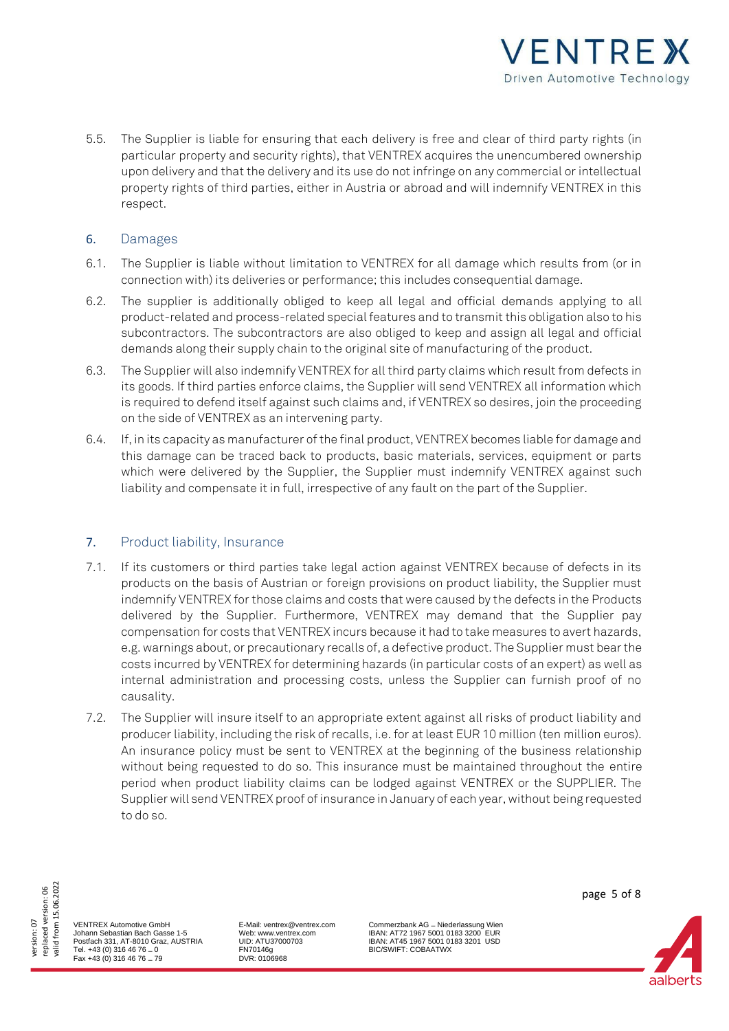

5.5. The Supplier is liable for ensuring that each delivery is free and clear of third party rights (in particular property and security rights), that VENTREX acquires the unencumbered ownership upon delivery and that the delivery and its use do not infringe on any commercial or intellectual property rights of third parties, either in Austria or abroad and will indemnify VENTREX in this respect.

## 6. Damages

- 6.1. The Supplier is liable without limitation to VENTREX for all damage which results from (or in connection with) its deliveries or performance; this includes consequential damage.
- 6.2. The supplier is additionally obliged to keep all legal and official demands applying to all product-related and process-related special features and to transmit this obligation also to his subcontractors. The subcontractors are also obliged to keep and assign all legal and official demands along their supply chain to the original site of manufacturing of the product.
- 6.3. The Supplier will also indemnify VENTREX for all third party claims which result from defects in its goods. If third parties enforce claims, the Supplier will send VENTREX all information which is required to defend itself against such claims and, if VENTREX so desires, join the proceeding on the side of VENTREX as an intervening party.
- 6.4. If, in its capacity as manufacturer of the final product, VENTREX becomes liable for damage and this damage can be traced back to products, basic materials, services, equipment or parts which were delivered by the Supplier, the Supplier must indemnify VENTREX against such liability and compensate it in full, irrespective of any fault on the part of the Supplier.

## 7. Product liability, Insurance

- 7.1. If its customers or third parties take legal action against VENTREX because of defects in its products on the basis of Austrian or foreign provisions on product liability, the Supplier must indemnify VENTREX for those claims and costs that were caused by the defects in the Products delivered by the Supplier. Furthermore, VENTREX may demand that the Supplier pay compensation for costs that VENTREX incurs because it had to take measures to avert hazards, e.g. warnings about, or precautionary recalls of, a defective product. The Supplier must bear the costs incurred by VENTREX for determining hazards (in particular costs of an expert) as well as internal administration and processing costs, unless the Supplier can furnish proof of no causality.
- 7.2. The Supplier will insure itself to an appropriate extent against all risks of product liability and producer liability, including the risk of recalls, i.e. for at least EUR 10 million (ten million euros). An insurance policy must be sent to VENTREX at the beginning of the business relationship without being requested to do so. This insurance must be maintained throughout the entire period when product liability claims can be lodged against VENTREX or the SUPPLIER. The Supplier will send VENTREX proof of insurance in January of each year, without being requested to do so.



VENTREX Automotive GmbH Johann Sebastian Bach Gasse 1-5 Postfach 331, AT-8010 Graz, AUSTRIA Tel. +43 (0) 316 46 76 – 0 Fax +43 (0) 316 46 76 – 79

E-Mail: ventrex@ventrex.com Web: www.ventrex.com UID: ATU37000703 FN70146g DVR: 0106968

Commerzbank AG – Niederlassung Wien IBAN: AT72 1967 5001 0183 3200 EUR IBAN: AT45 1967 5001 0183 3201 USD BIC/SWIFT: COBAATWX

page 5 of 8

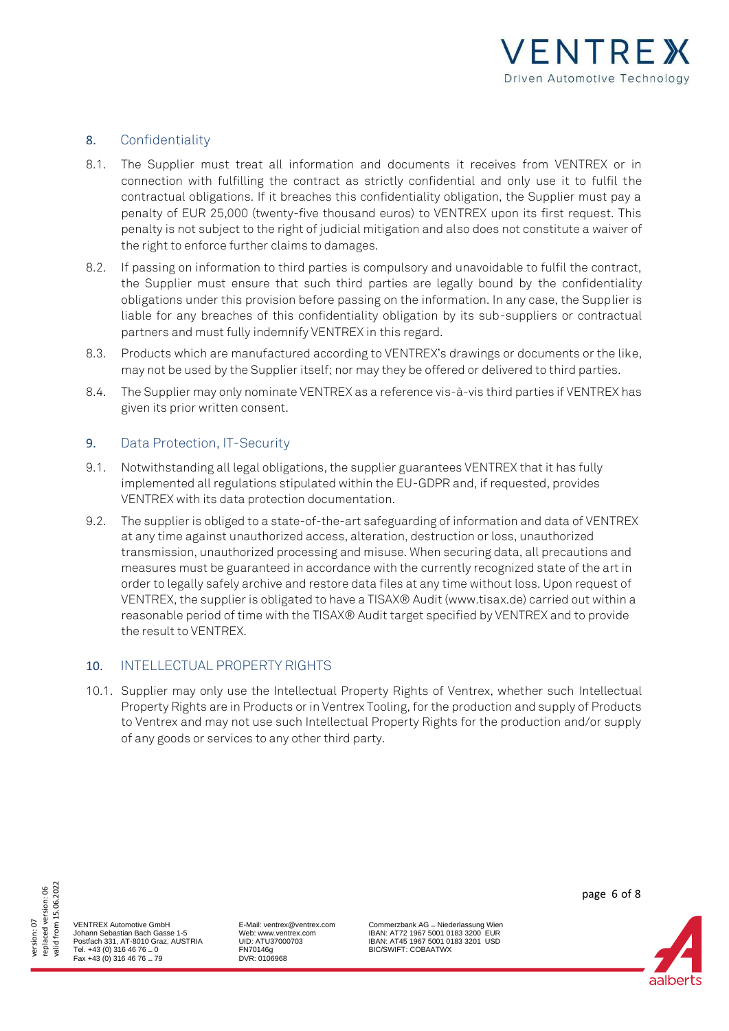

## 8. Confidentiality

- 8.1. The Supplier must treat all information and documents it receives from VENTREX or in connection with fulfilling the contract as strictly confidential and only use it to fulfil the contractual obligations. If it breaches this confidentiality obligation, the Supplier must pay a penalty of EUR 25,000 (twenty-five thousand euros) to VENTREX upon its first request. This penalty is not subject to the right of judicial mitigation and also does not constitute a waiver of the right to enforce further claims to damages.
- 8.2. If passing on information to third parties is compulsory and unavoidable to fulfil the contract, the Supplier must ensure that such third parties are legally bound by the confidentiality obligations under this provision before passing on the information. In any case, the Supplier is liable for any breaches of this confidentiality obligation by its sub-suppliers or contractual partners and must fully indemnify VENTREX in this regard.
- 8.3. Products which are manufactured according to VENTREX's drawings or documents or the like, may not be used by the Supplier itself; nor may they be offered or delivered to third parties.
- 8.4. The Supplier may only nominate VENTREX as a reference vis-à-vis third parties if VENTREX has given its prior written consent.

## 9. Data Protection, IT-Security

- 9.1. Notwithstanding all legal obligations, the supplier guarantees VENTREX that it has fully implemented all regulations stipulated within the EU-GDPR and, if requested, provides VENTREX with its data protection documentation.
- 9.2. The supplier is obliged to a state-of-the-art safeguarding of information and data of VENTREX at any time against unauthorized access, alteration, destruction or loss, unauthorized transmission, unauthorized processing and misuse. When securing data, all precautions and measures must be guaranteed in accordance with the currently recognized state of the art in order to legally safely archive and restore data files at any time without loss. Upon request of VENTREX, the supplier is obligated to have a TISAX® Audit (www.tisax.de) carried out within a reasonable period of time with the TISAX® Audit target specified by VENTREX and to provide the result to VENTREX.

## 10. INTELLECTUAL PROPERTY RIGHTS

10.1. Supplier may only use the Intellectual Property Rights of Ventrex, whether such Intellectual Property Rights are in Products or in Ventrex Tooling, for the production and supply of Products to Ventrex and may not use such Intellectual Property Rights for the production and/or supply of any goods or services to any other third party.



VENTREX Automotive GmbH Johann Sebastian Bach Gasse 1-5 Postfach 331, AT-8010 Graz, AUSTRIA Tel. +43 (0) 316 46 76 – 0 Fax +43 (0) 316 46 76 – 79

E-Mail: ventrex@ventrex.com Web: www.ventrex.com UID: ATU37000703 FN70146g DVR: 0106968

Commerzbank AG – Niederlassung Wien IBAN: AT72 1967 5001 0183 3200 EUR IBAN: AT45 1967 5001 0183 3201 USD BIC/SWIFT: COBAATWX

page 6 of 8

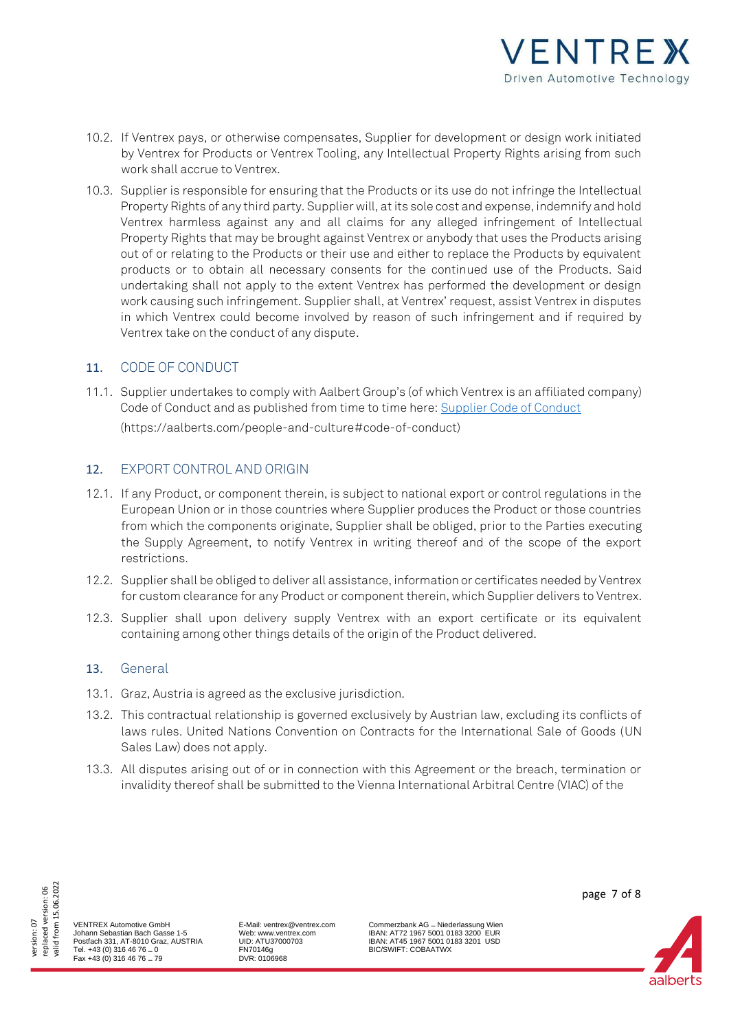

- 10.2. If Ventrex pays, or otherwise compensates, Supplier for development or design work initiated by Ventrex for Products or Ventrex Tooling, any Intellectual Property Rights arising from such work shall accrue to Ventrex.
- 10.3. Supplier is responsible for ensuring that the Products or its use do not infringe the Intellectual Property Rights of any third party. Supplier will, at its sole cost and expense, indemnify and hold Ventrex harmless against any and all claims for any alleged infringement of Intellectual Property Rights that may be brought against Ventrex or anybody that uses the Products arising out of or relating to the Products or their use and either to replace the Products by equivalent products or to obtain all necessary consents for the continued use of the Products. Said undertaking shall not apply to the extent Ventrex has performed the development or design work causing such infringement. Supplier shall, at Ventrex' request, assist Ventrex in disputes in which Ventrex could become involved by reason of such infringement and if required by Ventrex take on the conduct of any dispute.

## 11. CODE OF CONDUCT

11.1. Supplier undertakes to comply with Aalbert Group's (of which Ventrex is an affiliated company) Code of Conduct and as published from time to time here: [Supplier Code of Conduct](https://aalberts.com/people-and-culture#code-of-conduct)

(https://aalberts.com/people-and-culture#code-of-conduct)

## 12. EXPORT CONTROL AND ORIGIN

- 12.1. If any Product, or component therein, is subject to national export or control regulations in the European Union or in those countries where Supplier produces the Product or those countries from which the components originate, Supplier shall be obliged, prior to the Parties executing the Supply Agreement, to notify Ventrex in writing thereof and of the scope of the export restrictions.
- 12.2. Supplier shall be obliged to deliver all assistance, information or certificates needed by Ventrex for custom clearance for any Product or component therein, which Supplier delivers to Ventrex.
- 12.3. Supplier shall upon delivery supply Ventrex with an export certificate or its equivalent containing among other things details of the origin of the Product delivered.

### 13. General

- 13.1. Graz, Austria is agreed as the exclusive jurisdiction.
- 13.2. This contractual relationship is governed exclusively by Austrian law, excluding its conflicts of laws rules. United Nations Convention on Contracts for the International Sale of Goods (UN Sales Law) does not apply.
- 13.3. All disputes arising out of or in connection with this Agreement or the breach, termination or invalidity thereof shall be submitted to the Vienna International Arbitral Centre (VIAC) of the



VENTREX Automotive GmbH Johann Sebastian Bach Gasse 1-5 Postfach 331, AT-8010 Graz, AUSTRIA Tel. +43 (0) 316 46 76 – 0 Fax +43 (0) 316 46 76 – 79

E-Mail: ventrex@ventrex.com Web: www.ventrex.com UID: ATU37000703 FN70146g DVR: 0106968

Commerzbank AG – Niederlassung Wien IBAN: AT72 1967 5001 0183 3200 EUR IBAN: AT45 1967 5001 0183 3201 USD BIC/SWIFT: COBAATWX

page 7 of 8